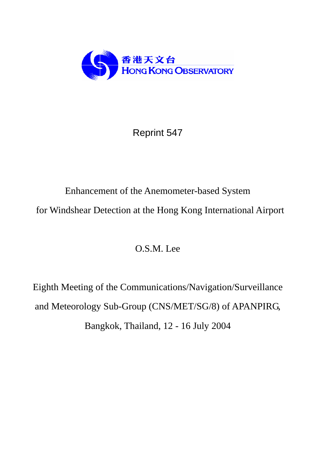

Reprint 547

# Enhancement of the Anemometer-based System for Windshear Detection at the Hong Kong International Airport

O.S.M. Lee

Eighth Meeting of the Communications/Navigation/Surveillance and Meteorology Sub-Group (CNS/MET/SG/8) of APANPIRG, Bangkok, Thailand, 12 - 16 July 2004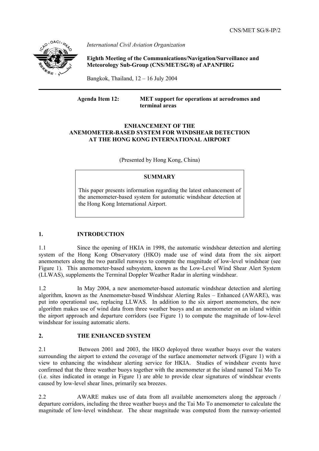

*International Civil Aviation Organization*

 **Eighth Meeting of the Communications/Navigation/Surveillance and Meteorology Sub-Group (CNS/MET/SG/8) of APANPIRG**

Bangkok, Thailand, 12 – 16 July 2004

**Agenda Item 12: MET support for operations at aerodromes and terminal areas** 

#### **ENHANCEMENT OF THE ANEMOMETER-BASED SYSTEM FOR WINDSHEAR DETECTION AT THE HONG KONG INTERNATIONAL AIRPORT**

(Presented by Hong Kong, China)

## **SUMMARY**

This paper presents information regarding the latest enhancement of the anemometer-based system for automatic windshear detection at the Hong Kong International Airport.

# **1. INTRODUCTION**

1.1 Since the opening of HKIA in 1998, the automatic windshear detection and alerting system of the Hong Kong Observatory (HKO) made use of wind data from the six airport anemometers along the two parallel runways to compute the magnitude of low-level windshear (see Figure 1). This anemometer-based subsystem, known as the Low-Level Wind Shear Alert System (LLWAS), supplements the Terminal Doppler Weather Radar in alerting windshear.

1.2 In May 2004, a new anemometer-based automatic windshear detection and alerting algorithm, known as the Anemometer-based Windshear Alerting Rules – Enhanced (AWARE), was put into operational use, replacing LLWAS. In addition to the six airport anemometers, the new algorithm makes use of wind data from three weather buoys and an anemometer on an island within the airport approach and departure corridors (see Figure 1) to compute the magnitude of low-level windshear for issuing automatic alerts.

### **2. THE ENHANCED SYSTEM**

2.1 Between 2001 and 2003, the HKO deployed three weather buoys over the waters surrounding the airport to extend the coverage of the surface anemometer network (Figure 1) with a view to enhancing the windshear alerting service for HKIA. Studies of windshear events have confirmed that the three weather buoys together with the anemometer at the island named Tai Mo To (i.e. sites indicated in orange in Figure 1) are able to provide clear signatures of windshear events caused by low-level shear lines, primarily sea breezes.

2.2 AWARE makes use of data from all available anemometers along the approach / departure corridors, including the three weather buoys and the Tai Mo To anemometer to calculate the magnitude of low-level windshear. The shear magnitude was computed from the runway-oriented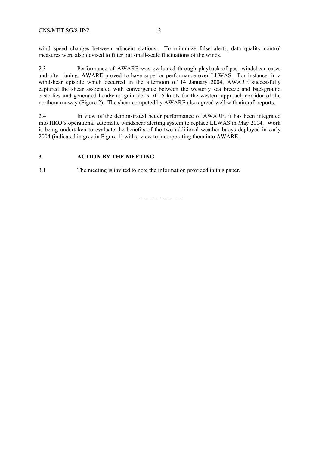wind speed changes between adjacent stations. To minimize false alerts, data quality control measures were also devised to filter out small-scale fluctuations of the winds.

2.3 Performance of AWARE was evaluated through playback of past windshear cases and after tuning, AWARE proved to have superior performance over LLWAS. For instance, in a windshear episode which occurred in the afternoon of 14 January 2004, AWARE successfully captured the shear associated with convergence between the westerly sea breeze and background easterlies and generated headwind gain alerts of 15 knots for the western approach corridor of the northern runway (Figure 2). The shear computed by AWARE also agreed well with aircraft reports.

2.4 In view of the demonstrated better performance of AWARE, it has been integrated into HKO's operational automatic windshear alerting system to replace LLWAS in May 2004. Work is being undertaken to evaluate the benefits of the two additional weather buoys deployed in early 2004 (indicated in grey in Figure 1) with a view to incorporating them into AWARE.

## **3. ACTION BY THE MEETING**

3.1 The meeting is invited to note the information provided in this paper.

- - - - - - - - - - - - -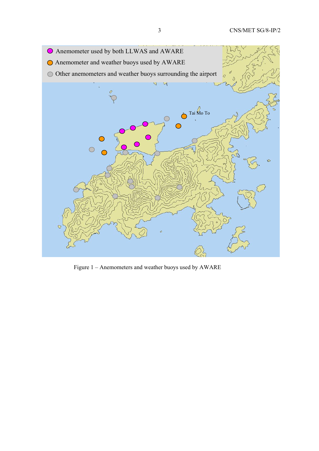

Figure 1 – Anemometers and weather buoys used by AWARE